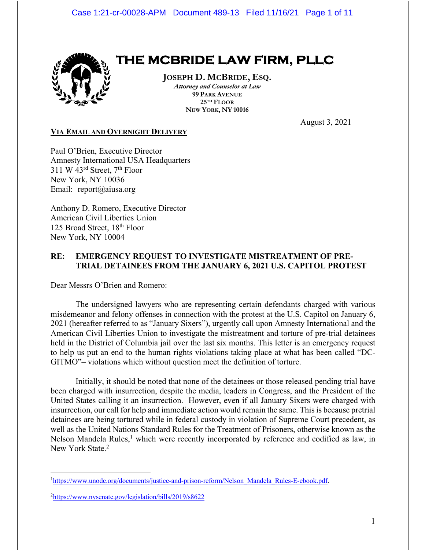

# **THE MCBRIDE LAW FIRM, PLLC**

**JOSEPH D. MCBRIDE, ESQ.** *Attorney and Counselor at Law* **99 PARK AVENUE 25TH FLOOR NEW YORK, NY 10016**

August 3, 2021

# **VIA EMAIL AND OVERNIGHT DELIVERY**

Paul O'Brien, Executive Director Amnesty International USA Headquarters 311 W 43 $^{rd}$  Street,  $7<sup>th</sup>$  Floor New York, NY 10036 Email: report@aiusa.org

Anthony D. Romero, Executive Director American Civil Liberties Union 125 Broad Street, 18th Floor New York, NY 10004

# **RE: EMERGENCY REQUEST TO INVESTIGATE MISTREATMENT OF PRE-TRIAL DETAINEES FROM THE JANUARY 6, 2021 U.S. CAPITOL PROTEST**

Dear Messrs O'Brien and Romero:

The undersigned lawyers who are representing certain defendants charged with various misdemeanor and felony offenses in connection with the protest at the U.S. Capitol on January 6, 2021 (hereafter referred to as "January Sixers"), urgently call upon Amnesty International and the American Civil Liberties Union to investigate the mistreatment and torture of pre-trial detainees held in the District of Columbia jail over the last six months. This letter is an emergency request to help us put an end to the human rights violations taking place at what has been called "DC-GITMO"– violations which without question meet the definition of torture.

Initially, it should be noted that none of the detainees or those released pending trial have been charged with insurrection, despite the media, leaders in Congress, and the President of the United States calling it an insurrection. However, even if all January Sixers were charged with insurrection, our call for help and immediate action would remain the same. This is because pretrial detainees are being tortured while in federal custody in violation of Supreme Court precedent, as well as the United Nations Standard Rules for the Treatment of Prisoners, otherwise known as the Nelson Mandela Rules,<sup>1</sup> which were recently incorporated by reference and codified as law, in New York State.<sup>2</sup>

<sup>&</sup>lt;sup>1</sup>https://www.unodc.org/documents/justice-and-prison-reform/Nelson\_Mandela\_Rules-E-ebook.pdf.

<sup>&</sup>lt;sup>2</sup>https://www.nysenate.gov/legislation/bills/2019/s8622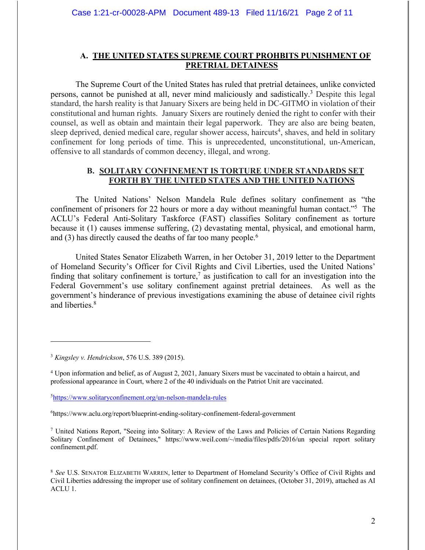# **A. THE UNITED STATES SUPREME COURT PROHBITS PUNISHMENT OF PRETRIAL DETAINESS**

The Supreme Court of the United States has ruled that pretrial detainees, unlike convicted persons, cannot be punished at all, never mind maliciously and sadistically.3 Despite this legal standard, the harsh reality is that January Sixers are being held in DC-GITMO in violation of their constitutional and human rights. January Sixers are routinely denied the right to confer with their counsel, as well as obtain and maintain their legal paperwork. They are also are being beaten, sleep deprived, denied medical care, regular shower access, haircuts<sup>4</sup>, shaves, and held in solitary confinement for long periods of time. This is unprecedented, unconstitutional, un-American, offensive to all standards of common decency, illegal, and wrong.

# **B. SOLITARY CONFINEMENT IS TORTURE UNDER STANDARDS SET FORTH BY THE UNITED STATES AND THE UNITED NATIONS**

The United Nations' Nelson Mandela Rule defines solitary confinement as "the confinement of prisoners for 22 hours or more a day without meaningful human contact."5 The ACLU's Federal Anti-Solitary Taskforce (FAST) classifies Solitary confinement as torture because it (1) causes immense suffering, (2) devastating mental, physical, and emotional harm, and (3) has directly caused the deaths of far too many people.<sup>6</sup>

United States Senator Elizabeth Warren, in her October 31, 2019 letter to the Department of Homeland Security's Officer for Civil Rights and Civil Liberties, used the United Nations' finding that solitary confinement is torture,<sup>7</sup> as justification to call for an investigation into the Federal Government's use solitary confinement against pretrial detainees. As well as the government's hinderance of previous investigations examining the abuse of detainee civil rights and liberties.8

<sup>3</sup> *Kingsley v. Hendrickson*, 576 U.S. 389 (2015).

<sup>4</sup> Upon information and belief, as of August 2, 2021, January Sixers must be vaccinated to obtain a haircut, and professional appearance in Court, where 2 of the 40 individuals on the Patriot Unit are vaccinated.

<sup>5</sup> https://www.solitaryconfinement.org/un-nelson-mandela-rules

<sup>6</sup> https://www.aclu.org/report/blueprint-ending-solitary-confinement-federal-government

<sup>7</sup> United Nations Report, "Seeing into Solitary: A Review of the Laws and Policies of Certain Nations Regarding Solitary Confinement of Detainees," https://www.weiI.com/~/media/files/pdfs/2016/un special report solitary confinement.pdf.

<sup>8</sup> *See* U.S. SENATOR ELIZABETH WARREN, letter to Department of Homeland Security's Office of Civil Rights and Civil Liberties addressing the improper use of solitary confinement on detainees, (October 31, 2019), attached as AI ACLU 1.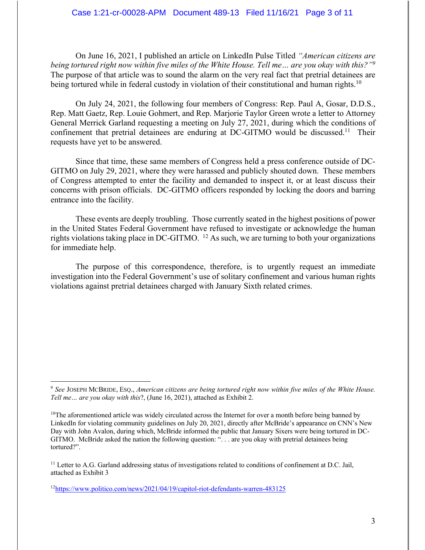On June 16, 2021, I published an article on LinkedIn Pulse Titled *"American citizens are being tortured right now within five miles of the White House. Tell me… are you okay with this?"9* The purpose of that article was to sound the alarm on the very real fact that pretrial detainees are being tortured while in federal custody in violation of their constitutional and human rights.<sup>10</sup>

On July 24, 2021, the following four members of Congress: Rep. Paul A, Gosar, D.D.S., Rep. Matt Gaetz, Rep. Louie Gohmert, and Rep. Marjorie Taylor Green wrote a letter to Attorney General Merrick Garland requesting a meeting on July 27, 2021, during which the conditions of confinement that pretrial detainees are enduring at DC-GITMO would be discussed.<sup>11</sup> Their requests have yet to be answered.

Since that time, these same members of Congress held a press conference outside of DC-GITMO on July 29, 2021, where they were harassed and publicly shouted down. These members of Congress attempted to enter the facility and demanded to inspect it, or at least discuss their concerns with prison officials. DC-GITMO officers responded by locking the doors and barring entrance into the facility.

These events are deeply troubling. Those currently seated in the highest positions of power in the United States Federal Government have refused to investigate or acknowledge the human rights violations taking place in DC-GITMO. 12 As such, we are turning to both your organizations for immediate help.

The purpose of this correspondence, therefore, is to urgently request an immediate investigation into the Federal Government's use of solitary confinement and various human rights violations against pretrial detainees charged with January Sixth related crimes.

<sup>9</sup> *See* JOSEPH MCBRIDE, ESQ., *American citizens are being tortured right now within five miles of the White House. Tell me… are you okay with this*?, (June 16, 2021), attached as Exhibit 2.

<sup>&</sup>lt;sup>10</sup>The aforementioned article was widely circulated across the Internet for over a month before being banned by LinkedIn for violating community guidelines on July 20, 2021, directly after McBride's appearance on CNN's New Day with John Avalon, during which, McBride informed the public that January Sixers were being tortured in DC-GITMO. McBride asked the nation the following question: ". . . are you okay with pretrial detainees being tortured?".

 $<sup>11</sup>$  Letter to A.G. Garland addressing status of investigations related to conditions of confinement at D.C. Jail,</sup> attached as Exhibit 3

<sup>12</sup>https://www.politico.com/news/2021/04/19/capitol-riot-defendants-warren-483125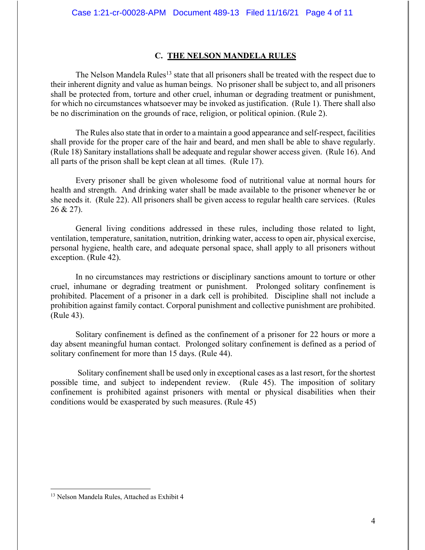# **C. THE NELSON MANDELA RULES**

The Nelson Mandela Rules<sup>13</sup> state that all prisoners shall be treated with the respect due to their inherent dignity and value as human beings. No prisoner shall be subject to, and all prisoners shall be protected from, torture and other cruel, inhuman or degrading treatment or punishment, for which no circumstances whatsoever may be invoked as justification. (Rule 1). There shall also be no discrimination on the grounds of race, religion, or political opinion. (Rule 2).

The Rules also state that in order to a maintain a good appearance and self-respect, facilities shall provide for the proper care of the hair and beard, and men shall be able to shave regularly. (Rule 18) Sanitary installations shall be adequate and regular shower access given. (Rule 16). And all parts of the prison shall be kept clean at all times. (Rule 17).

Every prisoner shall be given wholesome food of nutritional value at normal hours for health and strength. And drinking water shall be made available to the prisoner whenever he or she needs it. (Rule 22). All prisoners shall be given access to regular health care services. (Rules 26 & 27).

General living conditions addressed in these rules, including those related to light, ventilation, temperature, sanitation, nutrition, drinking water, access to open air, physical exercise, personal hygiene, health care, and adequate personal space, shall apply to all prisoners without exception. (Rule 42).

In no circumstances may restrictions or disciplinary sanctions amount to torture or other cruel, inhumane or degrading treatment or punishment. Prolonged solitary confinement is prohibited. Placement of a prisoner in a dark cell is prohibited. Discipline shall not include a prohibition against family contact. Corporal punishment and collective punishment are prohibited. (Rule 43).

Solitary confinement is defined as the confinement of a prisoner for 22 hours or more a day absent meaningful human contact. Prolonged solitary confinement is defined as a period of solitary confinement for more than 15 days. (Rule 44).

Solitary confinement shall be used only in exceptional cases as a last resort, for the shortest possible time, and subject to independent review. (Rule 45). The imposition of solitary confinement is prohibited against prisoners with mental or physical disabilities when their conditions would be exasperated by such measures. (Rule 45)

<sup>&</sup>lt;sup>13</sup> Nelson Mandela Rules, Attached as Exhibit 4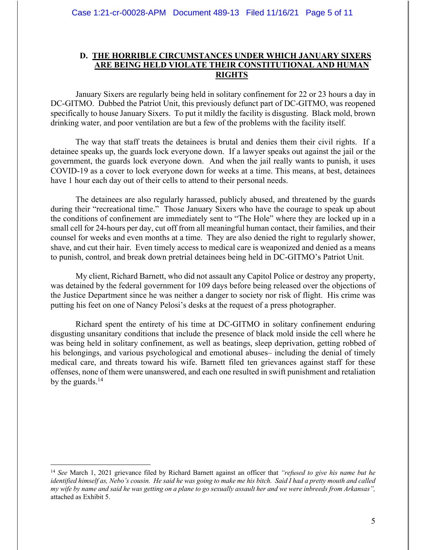# **D. THE HORRIBLE CIRCUMSTANCES UNDER WHICH JANUARY SIXERS ARE BEING HELD VIOLATE THEIR CONSTITUTIONAL AND HUMAN RIGHTS**

January Sixers are regularly being held in solitary confinement for 22 or 23 hours a day in DC-GITMO. Dubbed the Patriot Unit, this previously defunct part of DC-GITMO, was reopened specifically to house January Sixers. To put it mildly the facility is disgusting. Black mold, brown drinking water, and poor ventilation are but a few of the problems with the facility itself.

The way that staff treats the detainees is brutal and denies them their civil rights. If a detainee speaks up, the guards lock everyone down. If a lawyer speaks out against the jail or the government, the guards lock everyone down. And when the jail really wants to punish, it uses COVID-19 as a cover to lock everyone down for weeks at a time. This means, at best, detainees have 1 hour each day out of their cells to attend to their personal needs.

The detainees are also regularly harassed, publicly abused, and threatened by the guards during their "recreational time." Those January Sixers who have the courage to speak up about the conditions of confinement are immediately sent to "The Hole" where they are locked up in a small cell for 24-hours per day, cut off from all meaningful human contact, their families, and their counsel for weeks and even months at a time. They are also denied the right to regularly shower, shave, and cut their hair. Even timely access to medical care is weaponized and denied as a means to punish, control, and break down pretrial detainees being held in DC-GITMO's Patriot Unit.

My client, Richard Barnett, who did not assault any Capitol Police or destroy any property, was detained by the federal government for 109 days before being released over the objections of the Justice Department since he was neither a danger to society nor risk of flight. His crime was putting his feet on one of Nancy Pelosi's desks at the request of a press photographer.

Richard spent the entirety of his time at DC-GITMO in solitary confinement enduring disgusting unsanitary conditions that include the presence of black mold inside the cell where he was being held in solitary confinement, as well as beatings, sleep deprivation, getting robbed of his belongings, and various psychological and emotional abuses– including the denial of timely medical care, and threats toward his wife. Barnett filed ten grievances against staff for these offenses, none of them were unanswered, and each one resulted in swift punishment and retaliation by the guards. $14$ 

<sup>14</sup> *See* March 1, 2021 grievance filed by Richard Barnett against an officer that *"refused to give his name but he identified himself as, Nebo's cousin. He said he was going to make me his bitch. Said I had a pretty mouth and called my wife by name and said he was getting on a plane to go sexually assault her and we were inbreeds from Arkansas",*  attached as Exhibit 5.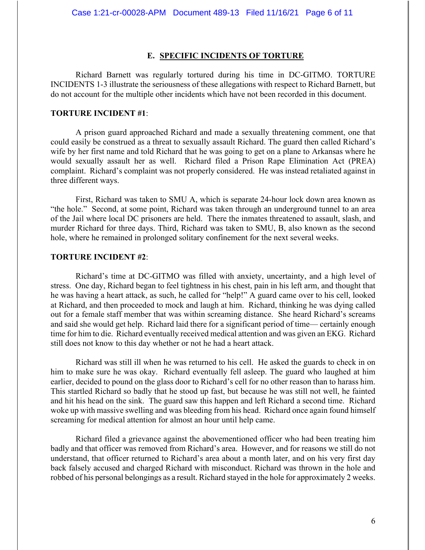#### **E. SPECIFIC INCIDENTS OF TORTURE**

Richard Barnett was regularly tortured during his time in DC-GITMO. TORTURE INCIDENTS 1-3 illustrate the seriousness of these allegations with respect to Richard Barnett, but do not account for the multiple other incidents which have not been recorded in this document.

#### **TORTURE INCIDENT #1**:

A prison guard approached Richard and made a sexually threatening comment, one that could easily be construed as a threat to sexually assault Richard. The guard then called Richard's wife by her first name and told Richard that he was going to get on a plane to Arkansas where he would sexually assault her as well. Richard filed a Prison Rape Elimination Act (PREA) complaint. Richard's complaint was not properly considered. He was instead retaliated against in three different ways.

First, Richard was taken to SMU A, which is separate 24-hour lock down area known as "the hole." Second, at some point, Richard was taken through an underground tunnel to an area of the Jail where local DC prisoners are held. There the inmates threatened to assault, slash, and murder Richard for three days. Third, Richard was taken to SMU, B, also known as the second hole, where he remained in prolonged solitary confinement for the next several weeks.

## **TORTURE INCIDENT #2**:

Richard's time at DC-GITMO was filled with anxiety, uncertainty, and a high level of stress. One day, Richard began to feel tightness in his chest, pain in his left arm, and thought that he was having a heart attack, as such, he called for "help!" A guard came over to his cell, looked at Richard, and then proceeded to mock and laugh at him. Richard, thinking he was dying called out for a female staff member that was within screaming distance. She heard Richard's screams and said she would get help. Richard laid there for a significant period of time— certainly enough time for him to die. Richard eventually received medical attention and was given an EKG. Richard still does not know to this day whether or not he had a heart attack.

Richard was still ill when he was returned to his cell. He asked the guards to check in on him to make sure he was okay. Richard eventually fell asleep. The guard who laughed at him earlier, decided to pound on the glass door to Richard's cell for no other reason than to harass him. This startled Richard so badly that he stood up fast, but because he was still not well, he fainted and hit his head on the sink. The guard saw this happen and left Richard a second time. Richard woke up with massive swelling and was bleeding from his head. Richard once again found himself screaming for medical attention for almost an hour until help came.

Richard filed a grievance against the abovementioned officer who had been treating him badly and that officer was removed from Richard's area. However, and for reasons we still do not understand, that officer returned to Richard's area about a month later, and on his very first day back falsely accused and charged Richard with misconduct. Richard was thrown in the hole and robbed of his personal belongings as a result. Richard stayed in the hole for approximately 2 weeks.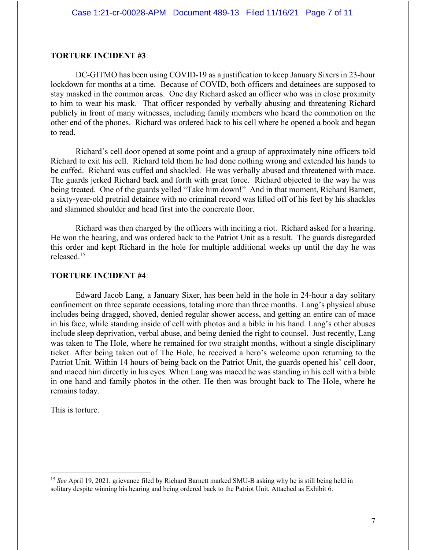#### **TORTURE INCIDENT #3**:

DC-GITMO has been using COVID-19 as a justification to keep January Sixers in 23-hour lockdown for months at a time. Because of COVID, both officers and detainees are supposed to stay masked in the common areas. One day Richard asked an officer who was in close proximity to him to wear his mask. That officer responded by verbally abusing and threatening Richard publicly in front of many witnesses, including family members who heard the commotion on the other end of the phones. Richard was ordered back to his cell where he opened a book and began to read.

Richard's cell door opened at some point and a group of approximately nine officers told Richard to exit his cell. Richard told them he had done nothing wrong and extended his hands to be cuffed. Richard was cuffed and shackled. He was verbally abused and threatened with mace. The guards jerked Richard back and forth with great force. Richard objected to the way he was being treated. One of the guards yelled "Take him down!" And in that moment, Richard Barnett, a sixty-year-old pretrial detainee with no criminal record was lifted off of his feet by his shackles and slammed shoulder and head first into the concreate floor.

Richard was then charged by the officers with inciting a riot. Richard asked for a hearing. He won the hearing, and was ordered back to the Patriot Unit as a result. The guards disregarded this order and kept Richard in the hole for multiple additional weeks up until the day he was released.15

#### **TORTURE INCIDENT #4**:

Edward Jacob Lang, a January Sixer, has been held in the hole in 24-hour a day solitary confinement on three separate occasions, totaling more than three months. Lang's physical abuse includes being dragged, shoved, denied regular shower access, and getting an entire can of mace in his face, while standing inside of cell with photos and a bible in his hand. Lang's other abuses include sleep deprivation, verbal abuse, and being denied the right to counsel. Just recently, Lang was taken to The Hole, where he remained for two straight months, without a single disciplinary ticket. After being taken out of The Hole, he received a hero's welcome upon returning to the Patriot Unit. Within 14 hours of being back on the Patriot Unit, the guards opened his' cell door, and maced him directly in his eyes. When Lang was maced he was standing in his cell with a bible in one hand and family photos in the other. He then was brought back to The Hole, where he remains today.

This is torture.

<sup>15</sup> *See* April 19, 2021, grievance filed by Richard Barnett marked SMU-B asking why he is still being held in solitary despite winning his hearing and being ordered back to the Patriot Unit, Attached as Exhibit 6.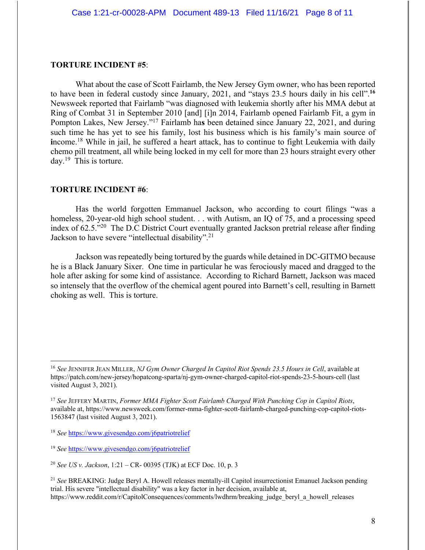#### **TORTURE INCIDENT #5**:

What about the case of Scott Fairlamb, the New Jersey Gym owner, who has been reported to have been in federal custody since January, 2021, and "stays 23.5 hours daily in his cell".**<sup>16</sup>** Newsweek reported that Fairlamb "was diagnosed with leukemia shortly after his MMA debut at Ring of Combat 31 in September 2010 [and] [i]n 2014, Fairlamb opened Fairlamb Fit, a gym in Pompton Lakes, New Jersey."17 Fairlamb ha**s** been detained since January 22, 2021, and during such time he has yet to see his family, lost his business which is his family's main source of **i**ncome. <sup>18</sup> While in jail, he suffered a heart attack, has to continue to fight Leukemia with daily chemo pill treatment, all while being locked in my cell for more than 23 hours straight every other day.19 This is torture.

#### **TORTURE INCIDENT #6**:

Has the world forgotten Emmanuel Jackson, who according to court filings "was a homeless, 20-year-old high school student. . . with Autism, an IQ of 75, and a processing speed index of 62.5."20 The D.C District Court eventually granted Jackson pretrial release after finding Jackson to have severe "intellectual disability".<sup>21</sup>

Jackson was repeatedly being tortured by the guards while detained in DC-GITMO because he is a Black January Sixer. One time in particular he was ferociously maced and dragged to the hole after asking for some kind of assistance. According to Richard Barnett, Jackson was maced so intensely that the overflow of the chemical agent poured into Barnett's cell, resulting in Barnett choking as well. This is torture.

<sup>16</sup> *See* JENNIFER JEAN MILLER, *NJ Gym Owner Charged In Capitol Riot Spends 23.5 Hours in Cell*, available at https://patch.com/new-jersey/hopatcong-sparta/nj-gym-owner-charged-capitol-riot-spends-23-5-hours-cell (last visited August 3, 2021).

<sup>17</sup> *See* JEFFERY MARTIN, *Former MMA Fighter Scott Fairlamb Charged With Punching Cop in Capitol Riots*, available at, https://www.newsweek.com/former-mma-fighter-scott-fairlamb-charged-punching-cop-capitol-riots-1563847 (last visited August 3, 2021).

<sup>18</sup> *See* https://www.givesendgo.com/j6patriotrelief

<sup>19</sup> *See* https://www.givesendgo.com/j6patriotrelief

<sup>20</sup> *See US v. Jackson*, 1:21 – CR- 00395 (TJK) at ECF Doc. 10, p. 3

<sup>21</sup> *See* BREAKING: Judge Beryl A. Howell releases mentally-ill Capitol insurrectionist Emanuel Jackson pending trial. His severe "intellectual disability" was a key factor in her decision, available at, https://www.reddit.com/r/CapitolConsequences/comments/lwdhrm/breaking\_judge\_beryl\_a\_howell\_releases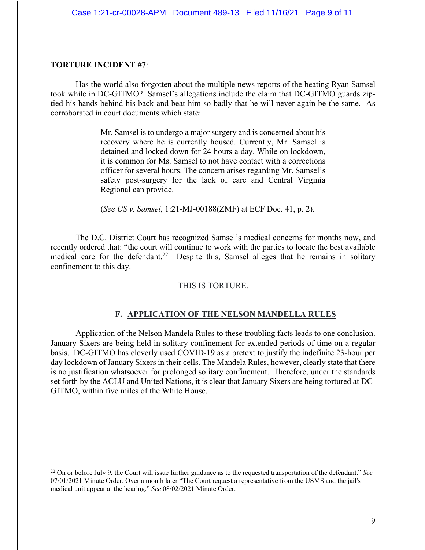#### **TORTURE INCIDENT #7**:

Has the world also forgotten about the multiple news reports of the beating Ryan Samsel took while in DC-GITMO? Samsel's allegations include the claim that DC-GITMO guards ziptied his hands behind his back and beat him so badly that he will never again be the same. As corroborated in court documents which state:

> Mr. Samsel is to undergo a major surgery and is concerned about his recovery where he is currently housed. Currently, Mr. Samsel is detained and locked down for 24 hours a day. While on lockdown, it is common for Ms. Samsel to not have contact with a corrections officer for several hours. The concern arises regarding Mr. Samsel's safety post-surgery for the lack of care and Central Virginia Regional can provide.

(*See US v. Samsel*, 1:21-MJ-00188(ZMF) at ECF Doc. 41, p. 2).

The D.C. District Court has recognized Samsel's medical concerns for months now, and recently ordered that: "the court will continue to work with the parties to locate the best available medical care for the defendant.<sup>22</sup> Despite this, Samsel alleges that he remains in solitary confinement to this day.

# THIS IS TORTURE.

# **F. APPLICATION OF THE NELSON MANDELLA RULES**

Application of the Nelson Mandela Rules to these troubling facts leads to one conclusion. January Sixers are being held in solitary confinement for extended periods of time on a regular basis. DC-GITMO has cleverly used COVID-19 as a pretext to justify the indefinite 23-hour per day lockdown of January Sixers in their cells. The Mandela Rules, however, clearly state that there is no justification whatsoever for prolonged solitary confinement. Therefore, under the standards set forth by the ACLU and United Nations, it is clear that January Sixers are being tortured at DC-GITMO, within five miles of the White House.

<sup>22</sup> On or before July 9, the Court will issue further guidance as to the requested transportation of the defendant." *See* 07/01/2021 Minute Order. Over a month later "The Court request a representative from the USMS and the jail's medical unit appear at the hearing." *See* 08/02/2021 Minute Order.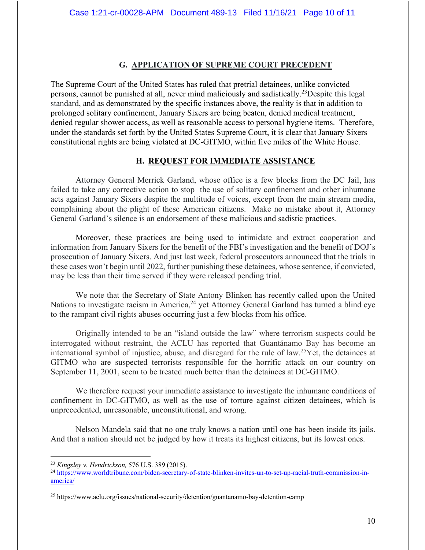# **G. APPLICATION OF SUPREME COURT PRECEDENT**

The Supreme Court of the United States has ruled that pretrial detainees, unlike convicted persons, cannot be punished at all, never mind maliciously and sadistically.23Despite this legal standard, and as demonstrated by the specific instances above, the reality is that in addition to prolonged solitary confinement, January Sixers are being beaten, denied medical treatment, denied regular shower access, as well as reasonable access to personal hygiene items. Therefore, under the standards set forth by the United States Supreme Court, it is clear that January Sixers constitutional rights are being violated at DC-GITMO, within five miles of the White House.

# **H. REQUEST FOR IMMEDIATE ASSISTANCE**

Attorney General Merrick Garland, whose office is a few blocks from the DC Jail, has failed to take any corrective action to stop the use of solitary confinement and other inhumane acts against January Sixers despite the multitude of voices, except from the main stream media, complaining about the plight of these American citizens. Make no mistake about it, Attorney General Garland's silence is an endorsement of these malicious and sadistic practices.

Moreover, these practices are being used to intimidate and extract cooperation and information from January Sixers for the benefit of the FBI's investigation and the benefit of DOJ's prosecution of January Sixers. And just last week, federal prosecutors announced that the trials in these cases won't begin until 2022, further punishing these detainees, whose sentence, if convicted, may be less than their time served if they were released pending trial.

We note that the Secretary of State Antony Blinken has recently called upon the United Nations to investigate racism in America,<sup>24</sup> yet Attorney General Garland has turned a blind eye to the rampant civil rights abuses occurring just a few blocks from his office.

Originally intended to be an "island outside the law" where terrorism suspects could be interrogated without restraint, the ACLU has reported that Guantánamo Bay has become an international symbol of injustice, abuse, and disregard for the rule of law.25Yet, the detainees at GITMO who are suspected terrorists responsible for the horrific attack on our country on September 11, 2001, seem to be treated much better than the detainees at DC-GITMO.

We therefore request your immediate assistance to investigate the inhumane conditions of confinement in DC-GITMO, as well as the use of torture against citizen detainees, which is unprecedented, unreasonable, unconstitutional, and wrong.

Nelson Mandela said that no one truly knows a nation until one has been inside its jails. And that a nation should not be judged by how it treats its highest citizens, but its lowest ones.

<sup>23</sup> *Kingsley v. Hendrickson,* 576 U.S. 389 (2015).

<sup>24</sup> https://www.worldtribune.com/biden-secretary-of-state-blinken-invites-un-to-set-up-racial-truth-commission-inamerica/

<sup>25</sup> https://www.aclu.org/issues/national-security/detention/guantanamo-bay-detention-camp